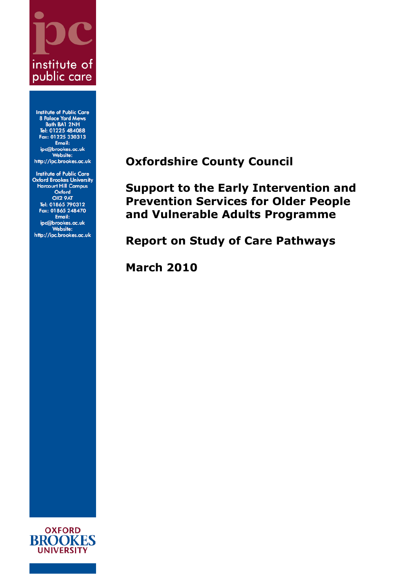# institute of public care

**Institute of Public Care 8 Palace Yard Mews** Bath BA1 2NH Tel: 01225 484088 Fax: 01225 330313 Email: ipc@brookes.ac.uk Website: http://ipc.brookes.ac.uk

<span id="page-0-1"></span><span id="page-0-0"></span>**Institute of Public Care Oxford Brookes University Harcourt Hill Campus** Oxford OX2 9AT Tel: 01865 790312<br>Fax: 01865 248470 Email: ipc@brookes.ac.uk<br>Website: http://ipc.brookes.ac.uk

**Oxfordshire County Council**

**Support to the Early Intervention and Prevention Services for Older People and Vulnerable Adults Programme**

**Report on Study of Care Pathways**

**March 2010**

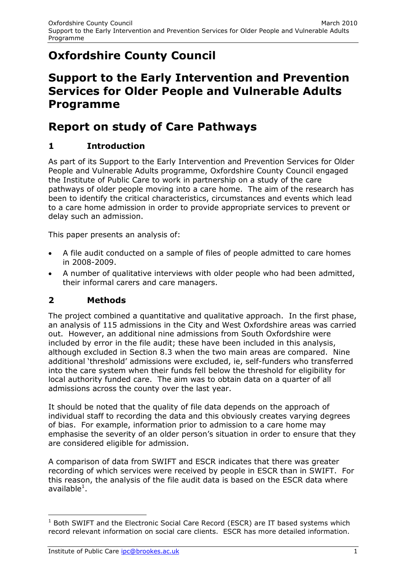# **[Oxfordshire County Council](#page-0-0)**

# **[Support to the Early Intervention and Prevention](#page-0-1)  [Services for Older People and Vulnerable Adults](#page-0-1)  [Programme](#page-0-1)**

# **Report on study of Care Pathways**

# **1 Introduction**

As part of its Support to the Early Intervention and Prevention Services for Older People and Vulnerable Adults programme, Oxfordshire County Council engaged the Institute of Public Care to work in partnership on a study of the care pathways of older people moving into a care home. The aim of the research has been to identify the critical characteristics, circumstances and events which lead to a care home admission in order to provide appropriate services to prevent or delay such an admission.

This paper presents an analysis of:

- A file audit conducted on a sample of files of people admitted to care homes in 2008-2009.
- A number of qualitative interviews with older people who had been admitted, their informal carers and care managers.

# **2 Methods**

The project combined a quantitative and qualitative approach. In the first phase, an analysis of 115 admissions in the City and West Oxfordshire areas was carried out. However, an additional nine admissions from South Oxfordshire were included by error in the file audit; these have been included in this analysis, although excluded in Section 8.3 when the two main areas are compared. Nine additional 'threshold' admissions were excluded, ie, self-funders who transferred into the care system when their funds fell below the threshold for eligibility for local authority funded care. The aim was to obtain data on a quarter of all admissions across the county over the last year.

It should be noted that the quality of file data depends on the approach of individual staff to recording the data and this obviously creates varying degrees of bias. For example, information prior to admission to a care home may emphasise the severity of an older person's situation in order to ensure that they are considered eligible for admission.

A comparison of data from SWIFT and ESCR indicates that there was greater recording of which services were received by people in ESCR than in SWIFT. For this reason, the analysis of the file audit data is based on the ESCR data where available $^1$ .

-

 $1$  Both SWIFT and the Electronic Social Care Record (ESCR) are IT based systems which record relevant information on social care clients. ESCR has more detailed information.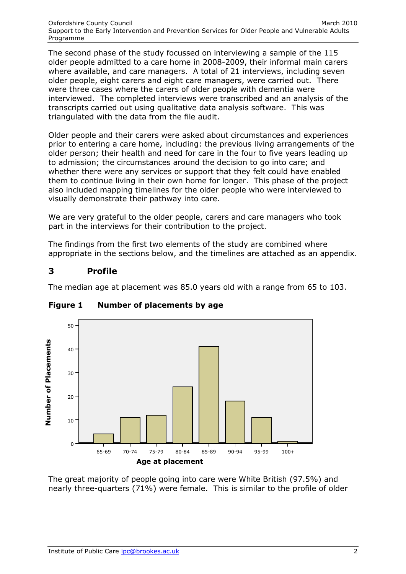The second phase of the study focussed on interviewing a sample of the 115 older people admitted to a care home in 2008-2009, their informal main carers where available, and care managers. A total of 21 interviews, including seven older people, eight carers and eight care managers, were carried out. There were three cases where the carers of older people with dementia were interviewed. The completed interviews were transcribed and an analysis of the transcripts carried out using qualitative data analysis software. This was triangulated with the data from the file audit.

Older people and their carers were asked about circumstances and experiences prior to entering a care home, including: the previous living arrangements of the older person; their health and need for care in the four to five years leading up to admission; the circumstances around the decision to go into care; and whether there were any services or support that they felt could have enabled them to continue living in their own home for longer. This phase of the project also included mapping timelines for the older people who were interviewed to visually demonstrate their pathway into care.

We are very grateful to the older people, carers and care managers who took part in the interviews for their contribution to the project.

The findings from the first two elements of the study are combined where appropriate in the sections below, and the timelines are attached as an appendix.

# **3 Profile**

The median age at placement was 85.0 years old with a range from 65 to 103.



#### **Figure 1 Number of placements by age**

The great majority of people going into care were White British (97.5%) and nearly three-quarters (71%) were female. This is similar to the profile of older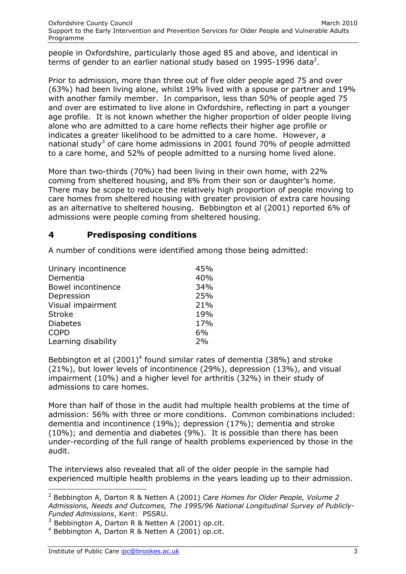people in Oxfordshire, particularly those aged 85 and above, and identical in terms of gender to an earlier national study based on 1995-1996 data<sup>2</sup>.

Prior to admission, more than three out of five older people aged 75 and over (63%) had been living alone, whilst 19% lived with a spouse or partner and 19% with another family member. In comparison, less than 50% of people aged 75 and over are estimated to live alone in Oxfordshire, reflecting in part a younger age profile. It is not known whether the higher proportion of older people living alone who are admitted to a care home reflects their higher age profile or indicates a greater likelihood to be admitted to a care home. However, a national study<sup>3</sup> of care home admissions in 2001 found 70% of people admitted to a care home, and 52% of people admitted to a nursing home lived alone.

More than two-thirds (70%) had been living in their own home, with 22% coming from sheltered housing, and 8% from their son or daughter's home. There may be scope to reduce the relatively high proportion of people moving to care homes from sheltered housing with greater provision of extra care housing as an alternative to sheltered housing. Bebbington et al (2001) reported 6% of admissions were people coming from sheltered housing.

# **4 Predisposing conditions**

A number of conditions were identified among those being admitted:

| Urinary incontinence | 45% |
|----------------------|-----|
| Dementia             | 40% |
| Bowel incontinence   | 34% |
| Depression           | 25% |
| Visual impairment    | 21% |
| <b>Stroke</b>        | 19% |
| <b>Diabetes</b>      | 17% |
| <b>COPD</b>          | 6%  |
| Learning disability  | 2%  |
|                      |     |

Bebbington et al  $(2001)^4$  found similar rates of dementia  $(38%)$  and stroke (21%), but lower levels of incontinence (29%), depression (13%), and visual impairment (10%) and a higher level for arthritis (32%) in their study of admissions to care homes.

More than half of those in the audit had multiple health problems at the time of admission: 56% with three or more conditions. Common combinations included: dementia and incontinence (19%); depression (17%); dementia and stroke (10%); and dementia and diabetes (9%). It is possible than there has been under-recording of the full range of health problems experienced by those in the audit.

The interviews also revealed that all of the older people in the sample had experienced multiple health problems in the years leading up to their admission.

-

<sup>2</sup> Bebbington A, Darton R & Netten A (2001) *Care Homes for Older People, Volume 2 Admissions, Needs and Outcomes, The 1995/96 National Longitudinal Survey of Publicly-Funded Admissions*, Kent: PSSRU.

 $3$  Bebbington A, Darton R & Netten A (2001) op.cit.

<sup>4</sup> Bebbington A, Darton R & Netten A (2001) op.cit.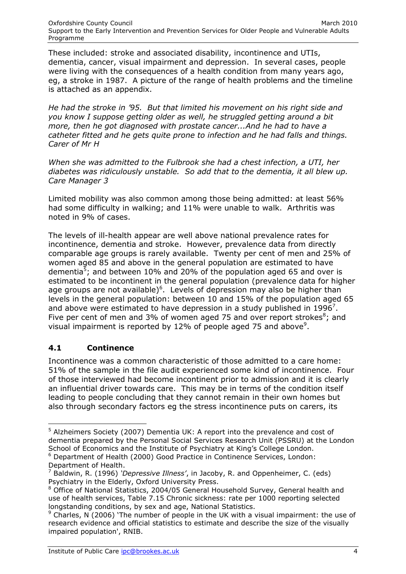These included: stroke and associated disability, incontinence and UTIs, dementia, cancer, visual impairment and depression. In several cases, people were living with the consequences of a health condition from many years ago, eg, a stroke in 1987. A picture of the range of health problems and the timeline is attached as an appendix.

*He had the stroke in '95. But that limited his movement on his right side and you know I suppose getting older as well, he struggled getting around a bit more, then he got diagnosed with prostate cancer...And he had to have a catheter fitted and he gets quite prone to infection and he had falls and things. Carer of Mr H*

*When she was admitted to the Fulbrook she had a chest infection, a UTI, her diabetes was ridiculously unstable. So add that to the dementia, it all blew up. Care Manager 3*

Limited mobility was also common among those being admitted: at least 56% had some difficulty in walking; and 11% were unable to walk. Arthritis was noted in 9% of cases.

The levels of ill-health appear are well above national prevalence rates for incontinence, dementia and stroke. However, prevalence data from directly comparable age groups is rarely available. Twenty per cent of men and 25% of women aged 85 and above in the general population are estimated to have dementia<sup>5</sup>; and between 10% and 20% of the population aged 65 and over is estimated to be incontinent in the general population (prevalence data for higher age groups are not available) $^6$ . Levels of depression may also be higher than levels in the general population: between 10 and 15% of the population aged 65 and above were estimated to have depression in a study published in 1996<sup>7</sup>. Five per cent of men and 3% of women aged 75 and over report strokes ${}^{8}$ ; and visual impairment is reported by 12% of people aged 75 and above $9$ .

# **4.1 Continence**

Incontinence was a common characteristic of those admitted to a care home: 51% of the sample in the file audit experienced some kind of incontinence. Four of those interviewed had become incontinent prior to admission and it is clearly an influential driver towards care. This may be in terms of the condition itself leading to people concluding that they cannot remain in their own homes but also through secondary factors eg the stress incontinence puts on carers, its

-

 $5$  Alzheimers Society (2007) Dementia UK: A report into the prevalence and cost of dementia prepared by the Personal Social Services Research Unit (PSSRU) at the London School of Economics and the Institute of Psychiatry at King's College London. <sup>6</sup> Department of Health (2000) Good Practice in Continence Services, London:

Department of Health.

<sup>7</sup> Baldwin, R. (1996) *'Depressive Illness'*, in Jacoby, R. and Oppenheimer, C. (eds) Psychiatry in the Elderly, Oxford University Press.

<sup>&</sup>lt;sup>8</sup> Office of National Statistics, 2004/05 General Household Survey, General health and use of health services, Table 7.15 Chronic sickness: rate per 1000 reporting selected longstanding conditions, by sex and age, National Statistics.

 $9$  Charles, N (2006) 'The number of people in the UK with a visual impairment: the use of research evidence and official statistics to estimate and describe the size of the visually impaired population', RNIB.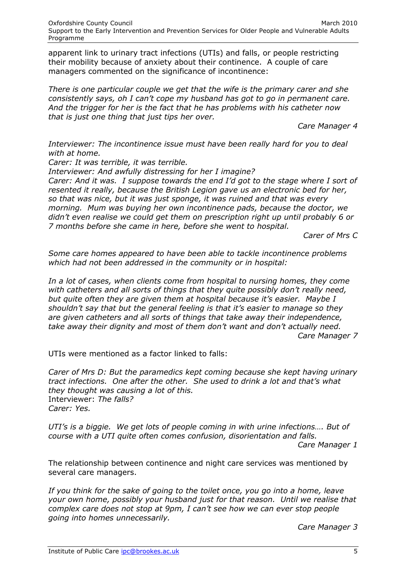apparent link to urinary tract infections (UTIs) and falls, or people restricting their mobility because of anxiety about their continence. A couple of care managers commented on the significance of incontinence:

*There is one particular couple we get that the wife is the primary carer and she consistently says, oh I can't cope my husband has got to go in permanent care. And the trigger for her is the fact that he has problems with his catheter now that is just one thing that just tips her over.*

*Care Manager 4*

*Interviewer: The incontinence issue must have been really hard for you to deal with at home.*

*Carer: It was terrible, it was terrible.*

*Interviewer: And awfully distressing for her I imagine? Carer: And it was. I suppose towards the end I'd got to the stage where I sort of resented it really, because the British Legion gave us an electronic bed for her, so that was nice, but it was just sponge, it was ruined and that was every morning. Mum was buying her own incontinence pads, because the doctor, we didn't even realise we could get them on prescription right up until probably 6 or* 

*7 months before she came in here, before she went to hospital.*

*Carer of Mrs C*

*Some care homes appeared to have been able to tackle incontinence problems which had not been addressed in the community or in hospital:*

In a lot of cases, when clients come from hospital to nursing homes, they come *with catheters and all sorts of things that they quite possibly don't really need, but quite often they are given them at hospital because it's easier. Maybe I shouldn't say that but the general feeling is that it's easier to manage so they are given catheters and all sorts of things that take away their independence, take away their dignity and most of them don't want and don't actually need. Care Manager 7*

UTIs were mentioned as a factor linked to falls:

*Carer of Mrs D: But the paramedics kept coming because she kept having urinary tract infections. One after the other. She used to drink a lot and that's what they thought was causing a lot of this.*  Interviewer: *The falls? Carer: Yes.*

*UTI's is a biggie. We get lots of people coming in with urine infections…. But of course with a UTI quite often comes confusion, disorientation and falls.*

*Care Manager 1*

The relationship between continence and night care services was mentioned by several care managers.

*If you think for the sake of going to the toilet once, you go into a home, leave your own home, possibly your husband just for that reason. Until we realise that complex care does not stop at 9pm, I can't see how we can ever stop people going into homes unnecessarily.*

*Care Manager 3*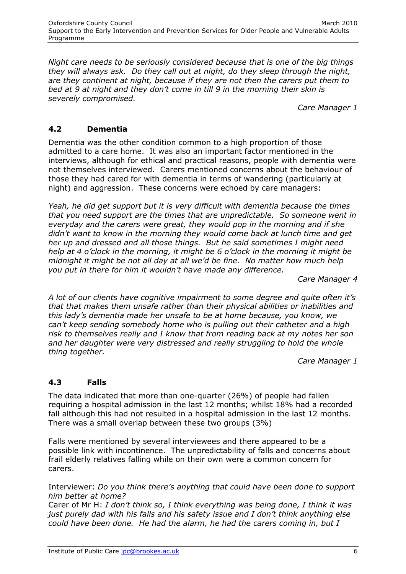*Night care needs to be seriously considered because that is one of the big things they will always ask. Do they call out at night, do they sleep through the night, are they continent at night, because if they are not then the carers put them to bed at 9 at night and they don't come in till 9 in the morning their skin is severely compromised.*

*Care Manager 1*

#### **4.2 Dementia**

Dementia was the other condition common to a high proportion of those admitted to a care home. It was also an important factor mentioned in the interviews, although for ethical and practical reasons, people with dementia were not themselves interviewed. Carers mentioned concerns about the behaviour of those they had cared for with dementia in terms of wandering (particularly at night) and aggression. These concerns were echoed by care managers:

*Yeah, he did get support but it is very difficult with dementia because the times that you need support are the times that are unpredictable. So someone went in everyday and the carers were great, they would pop in the morning and if she didn't want to know in the morning they would come back at lunch time and get her up and dressed and all those things. But he said sometimes I might need help at 4 o'clock in the morning, it might be 6 o'clock in the morning it might be midnight it might be not all day at all we'd be fine. No matter how much help you put in there for him it wouldn't have made any difference.*

*Care Manager 4*

*A lot of our clients have cognitive impairment to some degree and quite often it's that that makes them unsafe rather than their physical abilities or inabilities and this lady's dementia made her unsafe to be at home because, you know, we can't keep sending somebody home who is pulling out their catheter and a high risk to themselves really and I know that from reading back at my notes her son and her daughter were very distressed and really struggling to hold the whole thing together.*

*Care Manager 1*

# **4.3 Falls**

The data indicated that more than one-quarter (26%) of people had fallen requiring a hospital admission in the last 12 months; whilst 18% had a recorded fall although this had not resulted in a hospital admission in the last 12 months. There was a small overlap between these two groups (3%)

Falls were mentioned by several interviewees and there appeared to be a possible link with incontinence. The unpredictability of falls and concerns about frail elderly relatives falling while on their own were a common concern for carers.

Interviewer: *Do you think there's anything that could have been done to support him better at home?*

Carer of Mr H: *I don't think so, I think everything was being done, I think it was just purely dad with his falls and his safety issue and I don't think anything else could have been done. He had the alarm, he had the carers coming in, but I*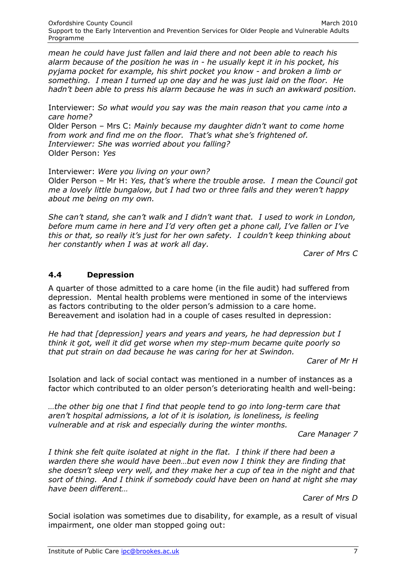*mean he could have just fallen and laid there and not been able to reach his alarm because of the position he was in - he usually kept it in his pocket, his pyjama pocket for example, his shirt pocket you know - and broken a limb or something. I mean I turned up one day and he was just laid on the floor. He hadn't been able to press his alarm because he was in such an awkward position.*

Interviewer: *So what would you say was the main reason that you came into a care home?*

Older Person – Mrs C: *Mainly because my daughter didn't want to come home from work and find me on the floor. That's what she's frightened of. Interviewer: She was worried about you falling?* Older Person: *Yes*

Interviewer: *Were you living on your own?* Older Person – Mr H: *Yes, that's where the trouble arose. I mean the Council got me a lovely little bungalow, but I had two or three falls and they weren't happy about me being on my own.*

*She can't stand, she can't walk and I didn't want that. I used to work in London, before mum came in here and I'd very often get a phone call, I've fallen or I've this or that, so really it's just for her own safety. I couldn't keep thinking about her constantly when I was at work all day.*

*Carer of Mrs C*

#### **4.4 Depression**

A quarter of those admitted to a care home (in the file audit) had suffered from depression. Mental health problems were mentioned in some of the interviews as factors contributing to the older person's admission to a care home. Bereavement and isolation had in a couple of cases resulted in depression:

*He had that [depression] years and years and years, he had depression but I think it got, well it did get worse when my step-mum became quite poorly so that put strain on dad because he was caring for her at Swindon.*

*Carer of Mr H*

Isolation and lack of social contact was mentioned in a number of instances as a factor which contributed to an older person's deteriorating health and well-being:

*…the other big one that I find that people tend to go into long-term care that aren't hospital admissions, a lot of it is isolation, is loneliness, is feeling vulnerable and at risk and especially during the winter months.* 

*Care Manager 7*

*I think she felt quite isolated at night in the flat. I think if there had been a warden there she would have been…but even now I think they are finding that she doesn't sleep very well, and they make her a cup of tea in the night and that sort of thing. And I think if somebody could have been on hand at night she may have been different…*

*Carer of Mrs D*

Social isolation was sometimes due to disability, for example, as a result of visual impairment, one older man stopped going out: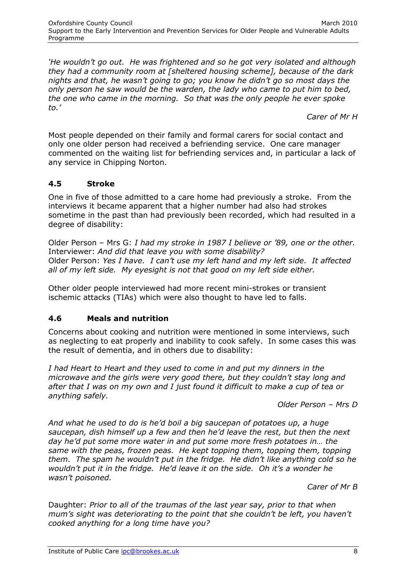*'He wouldn't go out. He was frightened and so he got very isolated and although they had a community room at [sheltered housing scheme], because of the dark nights and that, he wasn't going to go; you know he didn't go so most days the only person he saw would be the warden, the lady who came to put him to bed, the one who came in the morning. So that was the only people he ever spoke to.'* 

*Carer of Mr H*

Most people depended on their family and formal carers for social contact and only one older person had received a befriending service. One care manager commented on the waiting list for befriending services and, in particular a lack of any service in Chipping Norton.

# **4.5 Stroke**

One in five of those admitted to a care home had previously a stroke. From the interviews it became apparent that a higher number had also had strokes sometime in the past than had previously been recorded, which had resulted in a degree of disability:

Older Person – Mrs G: *I had my stroke in 1987 I believe or '89, one or the other.* Interviewer: *And did that leave you with some disability?* Older Person: *Yes I have. I can't use my left hand and my left side. It affected all of my left side. My eyesight is not that good on my left side either.*

Other older people interviewed had more recent mini-strokes or transient ischemic attacks (TIAs) which were also thought to have led to falls.

# **4.6 Meals and nutrition**

Concerns about cooking and nutrition were mentioned in some interviews, such as neglecting to eat properly and inability to cook safely. In some cases this was the result of dementia, and in others due to disability:

*I had Heart to Heart and they used to come in and put my dinners in the microwave and the girls were very good there, but they couldn't stay long and after that I was on my own and I just found it difficult to make a cup of tea or anything safely.*

*Older Person – Mrs D*

*And what he used to do is he'd boil a big saucepan of potatoes up, a huge saucepan, dish himself up a few and then he'd leave the rest, but then the next day he'd put some more water in and put some more fresh potatoes in… the same with the peas, frozen peas. He kept topping them, topping them, topping them. The spam he wouldn't put in the fridge. He didn't like anything cold so he wouldn't put it in the fridge. He'd leave it on the side. Oh it's a wonder he wasn't poisoned.*

*Carer of Mr B*

Daughter: *Prior to all of the traumas of the last year say, prior to that when mum's sight was deteriorating to the point that she couldn't be left, you haven't cooked anything for a long time have you?*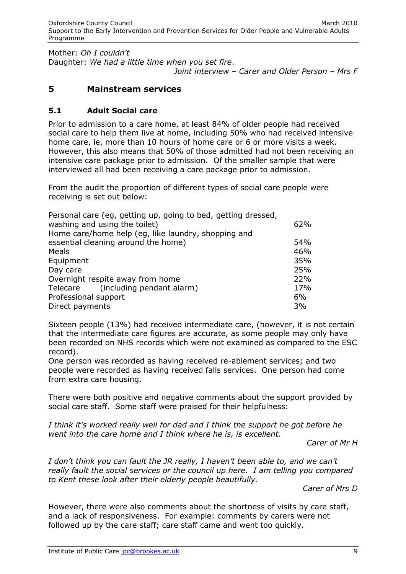Mother: *Oh I couldn't* Daughter: *We had a little time when you set fire*.

*Joint interview – Carer and Older Person – Mrs F*

#### **5 Mainstream services**

#### **5.1 Adult Social care**

Prior to admission to a care home, at least 84% of older people had received social care to help them live at home, including 50% who had received intensive home care, ie, more than 10 hours of home care or 6 or more visits a week. However, this also means that 50% of those admitted had not been receiving an intensive care package prior to admission. Of the smaller sample that were interviewed all had been receiving a care package prior to admission.

From the audit the proportion of different types of social care people were receiving is set out below:

| Personal care (eq, getting up, going to bed, getting dressed, |     |
|---------------------------------------------------------------|-----|
| washing and using the toilet)                                 | 62% |
| Home care/home help (eg, like laundry, shopping and           |     |
| essential cleaning around the home)                           | 54% |
| Meals                                                         | 46% |
| Equipment                                                     | 35% |
| Day care                                                      | 25% |
| Overnight respite away from home                              | 22% |
| (including pendant alarm)<br>Telecare                         | 17% |
| Professional support                                          | 6%  |
| Direct payments                                               | 3%  |

Sixteen people (13%) had received intermediate care, (however, it is not certain that the intermediate care figures are accurate, as some people may only have been recorded on NHS records which were not examined as compared to the ESC record).

One person was recorded as having received re-ablement services; and two people were recorded as having received falls services. One person had come from extra care housing.

There were both positive and negative comments about the support provided by social care staff. Some staff were praised for their helpfulness:

*I think it's worked really well for dad and I think the support he got before he went into the care home and I think where he is, is excellent.*

*Carer of Mr H*

*I don't think you can fault the JR really, I haven't been able to, and we can't really fault the social services or the council up here. I am telling you compared to Kent these look after their elderly people beautifully.*

*Carer of Mrs D*

However, there were also comments about the shortness of visits by care staff, and a lack of responsiveness. For example: comments by carers were not followed up by the care staff; care staff came and went too quickly.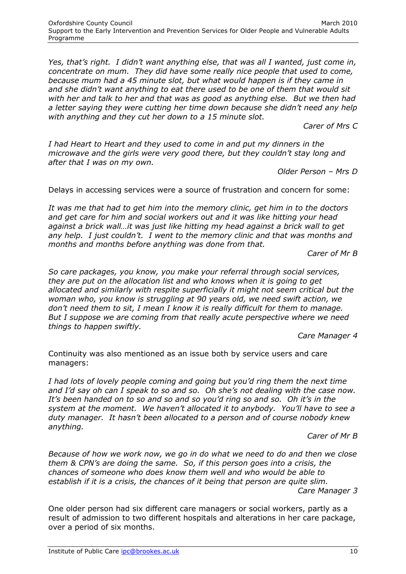*Yes, that's right. I didn't want anything else, that was all I wanted, just come in, concentrate on mum. They did have some really nice people that used to come, because mum had a 45 minute slot, but what would happen is if they came in and she didn't want anything to eat there used to be one of them that would sit with her and talk to her and that was as good as anything else. But we then had a letter saying they were cutting her time down because she didn't need any help with anything and they cut her down to a 15 minute slot.*

*Carer of Mrs C*

*I had Heart to Heart and they used to come in and put my dinners in the microwave and the girls were very good there, but they couldn't stay long and after that I was on my own.*

*Older Person – Mrs D*

Delays in accessing services were a source of frustration and concern for some:

*It was me that had to get him into the memory clinic, get him in to the doctors and get care for him and social workers out and it was like hitting your head against a brick wall…it was just like hitting my head against a brick wall to get any help. I just couldn't. I went to the memory clinic and that was months and months and months before anything was done from that.*

*Carer of Mr B*

*So care packages, you know, you make your referral through social services, they are put on the allocation list and who knows when it is going to get allocated and similarly with respite superficially it might not seem critical but the woman who, you know is struggling at 90 years old, we need swift action, we don't need them to sit, I mean I know it is really difficult for them to manage. But I suppose we are coming from that really acute perspective where we need things to happen swiftly.*

*Care Manager 4*

Continuity was also mentioned as an issue both by service users and care managers:

*I had lots of lovely people coming and going but you'd ring them the next time and I'd say oh can I speak to so and so. Oh she's not dealing with the case now. It's been handed on to so and so and so you'd ring so and so. Oh it's in the system at the moment. We haven't allocated it to anybody. You'll have to see a duty manager. It hasn't been allocated to a person and of course nobody knew anything.*

*Carer of Mr B*

*Because of how we work now, we go in do what we need to do and then we close them & CPN's are doing the same. So, if this person goes into a crisis, the chances of someone who does know them well and who would be able to establish if it is a crisis, the chances of it being that person are quite slim. Care Manager 3*

One older person had six different care managers or social workers, partly as a result of admission to two different hospitals and alterations in her care package, over a period of six months.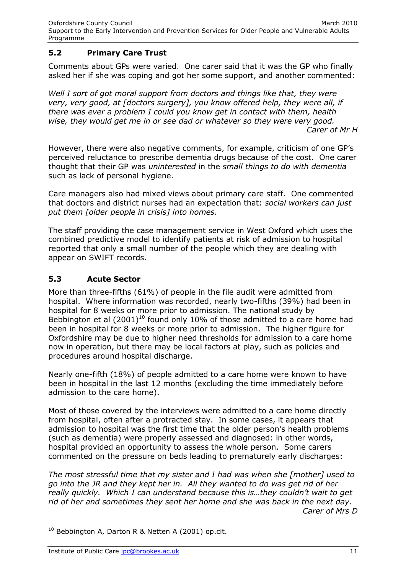# **5.2 Primary Care Trust**

Comments about GPs were varied. One carer said that it was the GP who finally asked her if she was coping and got her some support, and another commented:

Well I sort of got moral support from doctors and things like that, they were *very, very good, at [doctors surgery], you know offered help, they were all, if there was ever a problem I could you know get in contact with them, health wise, they would get me in or see dad or whatever so they were very good. Carer of Mr H*

However, there were also negative comments, for example, criticism of one GP's perceived reluctance to prescribe dementia drugs because of the cost. One carer thought that their GP was *uninterested* in the *small things to do with dementia* such as lack of personal hygiene.

Care managers also had mixed views about primary care staff. One commented that doctors and district nurses had an expectation that: *social workers can just put them [older people in crisis] into homes*.

The staff providing the case management service in West Oxford which uses the combined predictive model to identify patients at risk of admission to hospital reported that only a small number of the people which they are dealing with appear on SWIFT records.

# **5.3 Acute Sector**

More than three-fifths (61%) of people in the file audit were admitted from hospital. Where information was recorded, nearly two-fifths (39%) had been in hospital for 8 weeks or more prior to admission. The national study by Bebbington et al  $(2001)^{10}$  found only 10% of those admitted to a care home had been in hospital for 8 weeks or more prior to admission. The higher figure for Oxfordshire may be due to higher need thresholds for admission to a care home now in operation, but there may be local factors at play, such as policies and procedures around hospital discharge.

Nearly one-fifth (18%) of people admitted to a care home were known to have been in hospital in the last 12 months (excluding the time immediately before admission to the care home).

Most of those covered by the interviews were admitted to a care home directly from hospital, often after a protracted stay. In some cases, it appears that admission to hospital was the first time that the older person's health problems (such as dementia) were properly assessed and diagnosed: in other words, hospital provided an opportunity to assess the whole person. Some carers commented on the pressure on beds leading to prematurely early discharges:

*The most stressful time that my sister and I had was when she [mother] used to go into the JR and they kept her in. All they wanted to do was get rid of her really quickly. Which I can understand because this is...they couldn't wait to get rid of her and sometimes they sent her home and she was back in the next day. Carer of Mrs D*

 $\overline{a}$ 

 $10$  Bebbington A, Darton R & Netten A (2001) op.cit.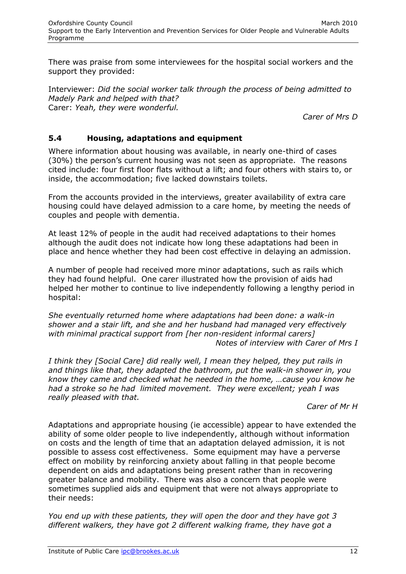There was praise from some interviewees for the hospital social workers and the support they provided:

Interviewer: *Did the social worker talk through the process of being admitted to Madely Park and helped with that?*  Carer: *Yeah, they were wonderful.*

*Carer of Mrs D*

#### **5.4 Housing, adaptations and equipment**

Where information about housing was available, in nearly one-third of cases (30%) the person's current housing was not seen as appropriate. The reasons cited include: four first floor flats without a lift; and four others with stairs to, or inside, the accommodation; five lacked downstairs toilets.

From the accounts provided in the interviews, greater availability of extra care housing could have delayed admission to a care home, by meeting the needs of couples and people with dementia.

At least 12% of people in the audit had received adaptations to their homes although the audit does not indicate how long these adaptations had been in place and hence whether they had been cost effective in delaying an admission.

A number of people had received more minor adaptations, such as rails which they had found helpful. One carer illustrated how the provision of aids had helped her mother to continue to live independently following a lengthy period in hospital:

*She eventually returned home where adaptations had been done: a walk-in shower and a stair lift, and she and her husband had managed very effectively with minimal practical support from [her non-resident informal carers] Notes of interview with Carer of Mrs I*

*I think they [Social Care] did really well, I mean they helped, they put rails in and things like that, they adapted the bathroom, put the walk-in shower in, you know they came and checked what he needed in the home, …cause you know he had a stroke so he had limited movement. They were excellent; yeah I was really pleased with that.*

*Carer of Mr H*

Adaptations and appropriate housing (ie accessible) appear to have extended the ability of some older people to live independently, although without information on costs and the length of time that an adaptation delayed admission, it is not possible to assess cost effectiveness. Some equipment may have a perverse effect on mobility by reinforcing anxiety about falling in that people become dependent on aids and adaptations being present rather than in recovering greater balance and mobility. There was also a concern that people were sometimes supplied aids and equipment that were not always appropriate to their needs:

*You end up with these patients, they will open the door and they have got 3 different walkers, they have got 2 different walking frame, they have got a*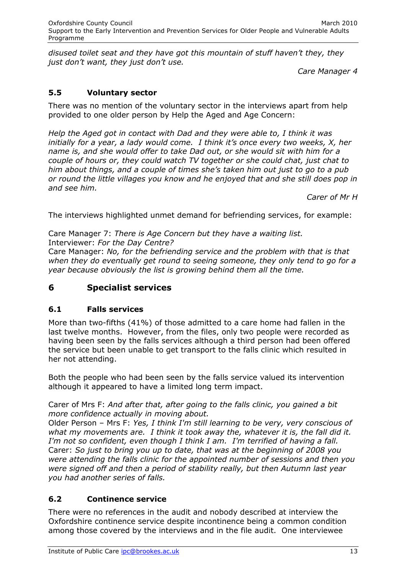*disused toilet seat and they have got this mountain of stuff haven't they, they just don't want, they just don't use.* 

*Care Manager 4*

# **5.5 Voluntary sector**

There was no mention of the voluntary sector in the interviews apart from help provided to one older person by Help the Aged and Age Concern:

*Help the Aged got in contact with Dad and they were able to, I think it was initially for a year, a lady would come. I think it's once every two weeks, X, her name is, and she would offer to take Dad out, or she would sit with him for a couple of hours or, they could watch TV together or she could chat, just chat to him about things, and a couple of times she's taken him out just to go to a pub or round the little villages you know and he enjoyed that and she still does pop in and see him.*

*Carer of Mr H*

The interviews highlighted unmet demand for befriending services, for example:

Care Manager 7: *There is Age Concern but they have a waiting list.* Interviewer: *For the Day Centre?*

Care Manager: *No, for the befriending service and the problem with that is that when they do eventually get round to seeing someone, they only tend to go for a year because obviously the list is growing behind them all the time.*

# **6 Specialist services**

# **6.1 Falls services**

More than two-fifths (41%) of those admitted to a care home had fallen in the last twelve months. However, from the files, only two people were recorded as having been seen by the falls services although a third person had been offered the service but been unable to get transport to the falls clinic which resulted in her not attending.

Both the people who had been seen by the falls service valued its intervention although it appeared to have a limited long term impact.

Carer of Mrs F: *And after that, after going to the falls clinic, you gained a bit more confidence actually in moving about.*

Older Person – Mrs F: *Yes, I think I'm still learning to be very, very conscious of what my movements are. I think it took away the, whatever it is, the fall did it. I'm not so confident, even though I think I am. I'm terrified of having a fall.* Carer: *So just to bring you up to date, that was at the beginning of 2008 you were attending the falls clinic for the appointed number of sessions and then you were signed off and then a period of stability really, but then Autumn last year you had another series of falls.*

# **6.2 Continence service**

There were no references in the audit and nobody described at interview the Oxfordshire continence service despite incontinence being a common condition among those covered by the interviews and in the file audit. One interviewee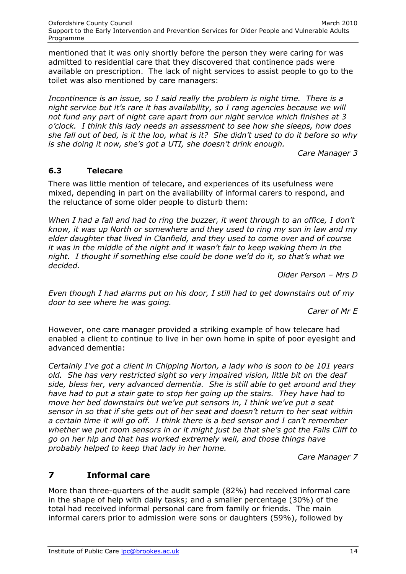mentioned that it was only shortly before the person they were caring for was admitted to residential care that they discovered that continence pads were available on prescription. The lack of night services to assist people to go to the toilet was also mentioned by care managers:

*Incontinence is an issue, so I said really the problem is night time. There is a night service but it's rare it has availability, so I rang agencies because we will not fund any part of night care apart from our night service which finishes at 3 o'clock. I think this lady needs an assessment to see how she sleeps, how does she fall out of bed, is it the loo, what is it? She didn't used to do it before so why is she doing it now, she's got a UTI, she doesn't drink enough.*

*Care Manager 3*

#### **6.3 Telecare**

There was little mention of telecare, and experiences of its usefulness were mixed, depending in part on the availability of informal carers to respond, and the reluctance of some older people to disturb them:

*When I had a fall and had to ring the buzzer, it went through to an office, I don't know, it was up North or somewhere and they used to ring my son in law and my elder daughter that lived in Clanfield, and they used to come over and of course it was in the middle of the night and it wasn't fair to keep waking them in the night. I thought if something else could be done we'd do it, so that's what we decided.*

*Older Person – Mrs D*

*Even though I had alarms put on his door, I still had to get downstairs out of my door to see where he was going.*

*Carer of Mr E*

However, one care manager provided a striking example of how telecare had enabled a client to continue to live in her own home in spite of poor eyesight and advanced dementia:

*Certainly I've got a client in Chipping Norton, a lady who is soon to be 101 years old. She has very restricted sight so very impaired vision, little bit on the deaf side, bless her, very advanced dementia. She is still able to get around and they have had to put a stair gate to stop her going up the stairs. They have had to move her bed downstairs but we've put sensors in, I think we've put a seat sensor in so that if she gets out of her seat and doesn't return to her seat within a certain time it will go off. I think there is a bed sensor and I can't remember whether we put room sensors in or it might just be that she's got the Falls Cliff to go on her hip and that has worked extremely well, and those things have probably helped to keep that lady in her home.*

*Care Manager 7*

# **7 Informal care**

More than three-quarters of the audit sample (82%) had received informal care in the shape of help with daily tasks; and a smaller percentage (30%) of the total had received informal personal care from family or friends. The main informal carers prior to admission were sons or daughters (59%), followed by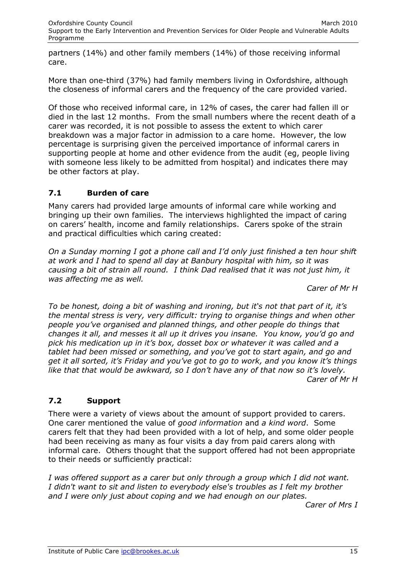partners (14%) and other family members (14%) of those receiving informal care.

More than one-third (37%) had family members living in Oxfordshire, although the closeness of informal carers and the frequency of the care provided varied.

Of those who received informal care, in 12% of cases, the carer had fallen ill or died in the last 12 months. From the small numbers where the recent death of a carer was recorded, it is not possible to assess the extent to which carer breakdown was a major factor in admission to a care home. However, the low percentage is surprising given the perceived importance of informal carers in supporting people at home and other evidence from the audit (eg, people living with someone less likely to be admitted from hospital) and indicates there may be other factors at play.

# **7.1 Burden of care**

Many carers had provided large amounts of informal care while working and bringing up their own families. The interviews highlighted the impact of caring on carers' health, income and family relationships. Carers spoke of the strain and practical difficulties which caring created:

*On a Sunday morning I got a phone call and I'd only just finished a ten hour shift at work and I had to spend all day at Banbury hospital with him, so it was causing a bit of strain all round. I think Dad realised that it was not just him, it was affecting me as well.*

*Carer of Mr H*

*To be honest, doing a bit of washing and ironing, but it's not that part of it, it's the mental stress is very, very difficult: trying to organise things and when other people you've organised and planned things, and other people do things that changes it all, and messes it all up it drives you insane. You know, you'd go and pick his medication up in it's box, dosset box or whatever it was called and a tablet had been missed or something, and you've got to start again, and go and get it all sorted, it's Friday and you've got to go to work, and you know it's things like that that would be awkward, so I don't have any of that now so it's lovely. Carer of Mr H*

# **7.2 Support**

There were a variety of views about the amount of support provided to carers. One carer mentioned the value of *good information* and *a kind word*. Some carers felt that they had been provided with a lot of help, and some older people had been receiving as many as four visits a day from paid carers along with informal care. Others thought that the support offered had not been appropriate to their needs or sufficiently practical:

*I was offered support as a carer but only through a group which I did not want. I didn't want to sit and listen to everybody else's troubles as I felt my brother and I were only just about coping and we had enough on our plates.*

*Carer of Mrs I*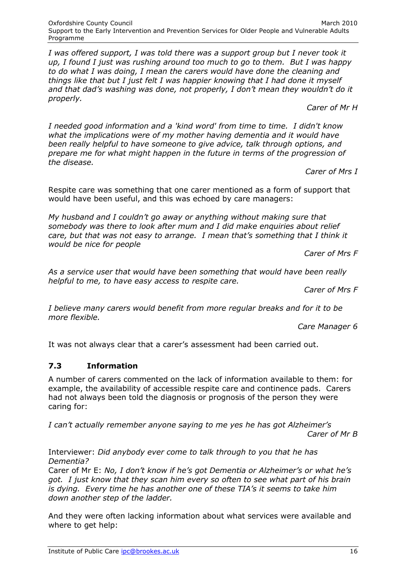*I was offered support, I was told there was a support group but I never took it up, I found I just was rushing around too much to go to them. But I was happy to do what I was doing, I mean the carers would have done the cleaning and things like that but I just felt I was happier knowing that I had done it myself and that dad's washing was done, not properly, I don't mean they wouldn't do it properly.*

*Carer of Mr H*

*I needed good information and a 'kind word' from time to time. I didn't know what the implications were of my mother having dementia and it would have been really helpful to have someone to give advice, talk through options, and prepare me for what might happen in the future in terms of the progression of the disease.*

*Carer of Mrs I*

Respite care was something that one carer mentioned as a form of support that would have been useful, and this was echoed by care managers:

*My husband and I couldn't go away or anything without making sure that somebody was there to look after mum and I did make enquiries about relief care, but that was not easy to arrange. I mean that's something that I think it would be nice for people* 

*Carer of Mrs F*

*As a service user that would have been something that would have been really helpful to me, to have easy access to respite care.*

*Carer of Mrs F*

*I believe many carers would benefit from more regular breaks and for it to be more flexible.*

*Care Manager 6*

It was not always clear that a carer's assessment had been carried out.

# **7.3 Information**

A number of carers commented on the lack of information available to them: for example, the availability of accessible respite care and continence pads. Carers had not always been told the diagnosis or prognosis of the person they were caring for:

*I can't actually remember anyone saying to me yes he has got Alzheimer's Carer of Mr B*

Interviewer: *Did anybody ever come to talk through to you that he has Dementia?* 

Carer of Mr E: *No, I don't know if he's got Dementia or Alzheimer's or what he's got. I just know that they scan him every so often to see what part of his brain is dying. Every time he has another one of these TIA's it seems to take him down another step of the ladder.*

And they were often lacking information about what services were available and where to get help: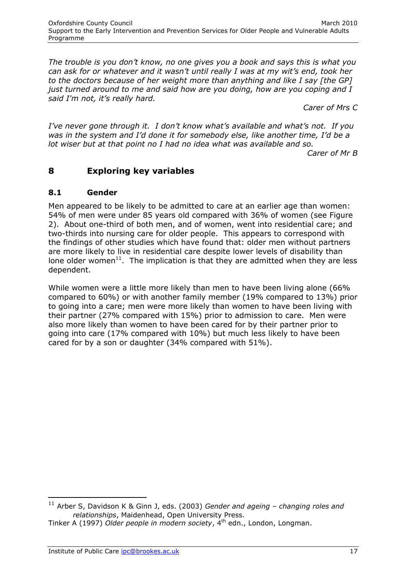*The trouble is you don't know, no one gives you a book and says this is what you can ask for or whatever and it wasn't until really I was at my wit's end, took her to the doctors because of her weight more than anything and like I say [the GP] just turned around to me and said how are you doing, how are you coping and I said I'm not, it's really hard.* 

*Carer of Mrs C*

*I've never gone through it. I don't know what's available and what's not. If you was in the system and I'd done it for somebody else, like another time, I'd be a lot wiser but at that point no I had no idea what was available and so. Carer of Mr B*

# **8 Exploring key variables**

#### **8.1 Gender**

Men appeared to be likely to be admitted to care at an earlier age than women: 54% of men were under 85 years old compared with 36% of women (see Figure 2). About one-third of both men, and of women, went into residential care; and two-thirds into nursing care for older people. This appears to correspond with the findings of other studies which have found that: older men without partners are more likely to live in residential care despite lower levels of disability than lone older women<sup>11</sup>. The implication is that they are admitted when they are less dependent.

While women were a little more likely than men to have been living alone (66% compared to 60%) or with another family member (19% compared to 13%) prior to going into a care; men were more likely than women to have been living with their partner (27% compared with 15%) prior to admission to care. Men were also more likely than women to have been cared for by their partner prior to going into care (17% compared with 10%) but much less likely to have been cared for by a son or daughter (34% compared with 51%).

 $\overline{a}$ 

<sup>11</sup> Arber S, Davidson K & Ginn J, eds. (2003) *Gender and ageing – changing roles and relationships*, Maidenhead, Open University Press.

Tinker A (1997) *Older people in modern society*, 4th edn., London, Longman.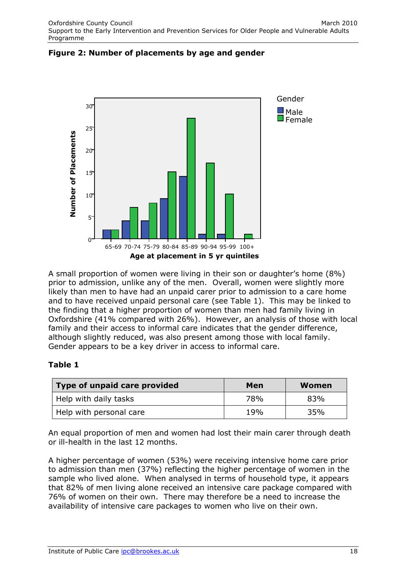

**Figure 2: Number of placements by age and gender**

A small proportion of women were living in their son or daughter's home (8%) prior to admission, unlike any of the men. Overall, women were slightly more likely than men to have had an unpaid carer prior to admission to a care home and to have received unpaid personal care (see Table 1). This may be linked to the finding that a higher proportion of women than men had family living in Oxfordshire (41% compared with 26%). However, an analysis of those with local family and their access to informal care indicates that the gender difference, although slightly reduced, was also present among those with local family. Gender appears to be a key driver in access to informal care.

#### **Table 1**

| Type of unpaid care provided | Men | Women |
|------------------------------|-----|-------|
| Help with daily tasks        | 78% | 83%   |
| Help with personal care      | 19% | 35%   |

An equal proportion of men and women had lost their main carer through death or ill-health in the last 12 months.

A higher percentage of women (53%) were receiving intensive home care prior to admission than men (37%) reflecting the higher percentage of women in the sample who lived alone. When analysed in terms of household type, it appears that 82% of men living alone received an intensive care package compared with 76% of women on their own. There may therefore be a need to increase the availability of intensive care packages to women who live on their own.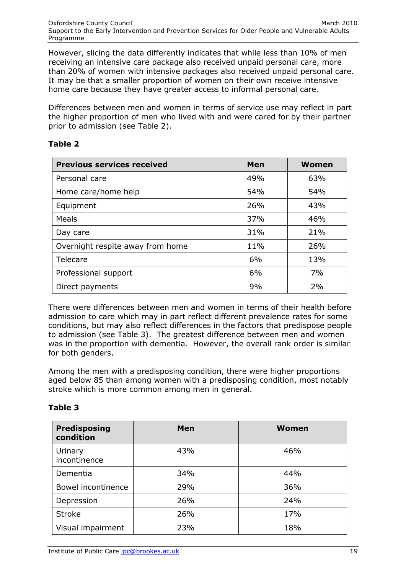However, slicing the data differently indicates that while less than 10% of men receiving an intensive care package also received unpaid personal care, more than 20% of women with intensive packages also received unpaid personal care. It may be that a smaller proportion of women on their own receive intensive home care because they have greater access to informal personal care.

Differences between men and women in terms of service use may reflect in part the higher proportion of men who lived with and were cared for by their partner prior to admission (see Table 2).

#### **Table 2**

| <b>Previous services received</b> | Men | <b>Women</b> |
|-----------------------------------|-----|--------------|
| Personal care                     | 49% | 63%          |
| Home care/home help               | 54% | 54%          |
| Equipment                         | 26% | 43%          |
| Meals                             | 37% | 46%          |
| Day care                          | 31% | 21%          |
| Overnight respite away from home  | 11% | 26%          |
| Telecare                          | 6%  | 13%          |
| Professional support              | 6%  | 7%           |
| Direct payments                   | 9%  | 2%           |

There were differences between men and women in terms of their health before admission to care which may in part reflect different prevalence rates for some conditions, but may also reflect differences in the factors that predispose people to admission (see Table 3). The greatest difference between men and women was in the proportion with dementia. However, the overall rank order is similar for both genders.

Among the men with a predisposing condition, there were higher proportions aged below 85 than among women with a predisposing condition, most notably stroke which is more common among men in general.

#### **Table 3**

| <b>Predisposing</b><br>condition | Men | Women |
|----------------------------------|-----|-------|
| Urinary<br>incontinence          | 43% | 46%   |
| Dementia                         | 34% | 44%   |
| Bowel incontinence               | 29% | 36%   |
| Depression                       | 26% | 24%   |
| <b>Stroke</b>                    | 26% | 17%   |
| Visual impairment                | 23% | 18%   |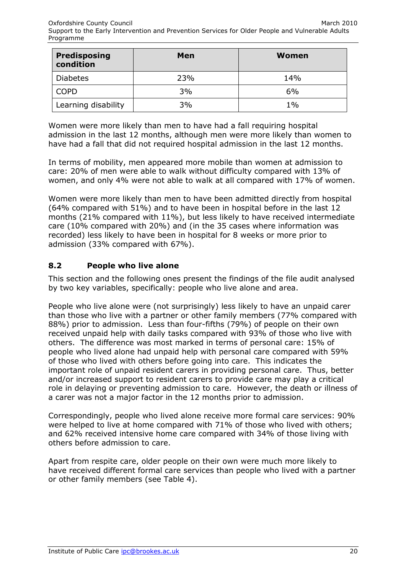| Predisposing<br>condition | Men | Women |
|---------------------------|-----|-------|
| <b>Diabetes</b>           | 23% | 14%   |
| COPD                      | 3%  | 6%    |
| Learning disability       | 3%  | $1\%$ |

Women were more likely than men to have had a fall requiring hospital admission in the last 12 months, although men were more likely than women to have had a fall that did not required hospital admission in the last 12 months.

In terms of mobility, men appeared more mobile than women at admission to care: 20% of men were able to walk without difficulty compared with 13% of women, and only 4% were not able to walk at all compared with 17% of women.

Women were more likely than men to have been admitted directly from hospital (64% compared with 51%) and to have been in hospital before in the last 12 months (21% compared with 11%), but less likely to have received intermediate care (10% compared with 20%) and (in the 35 cases where information was recorded) less likely to have been in hospital for 8 weeks or more prior to admission (33% compared with 67%).

#### **8.2 People who live alone**

This section and the following ones present the findings of the file audit analysed by two key variables, specifically: people who live alone and area.

People who live alone were (not surprisingly) less likely to have an unpaid carer than those who live with a partner or other family members (77% compared with 88%) prior to admission. Less than four-fifths (79%) of people on their own received unpaid help with daily tasks compared with 93% of those who live with others. The difference was most marked in terms of personal care: 15% of people who lived alone had unpaid help with personal care compared with 59% of those who lived with others before going into care. This indicates the important role of unpaid resident carers in providing personal care. Thus, better and/or increased support to resident carers to provide care may play a critical role in delaying or preventing admission to care. However, the death or illness of a carer was not a major factor in the 12 months prior to admission.

Correspondingly, people who lived alone receive more formal care services: 90% were helped to live at home compared with 71% of those who lived with others; and 62% received intensive home care compared with 34% of those living with others before admission to care.

Apart from respite care, older people on their own were much more likely to have received different formal care services than people who lived with a partner or other family members (see Table 4).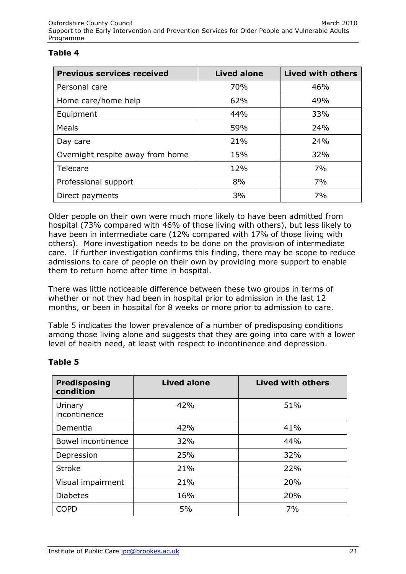#### **Table 4**

| <b>Previous services received</b> | <b>Lived alone</b> | <b>Lived with others</b> |
|-----------------------------------|--------------------|--------------------------|
| Personal care                     | 70%                | 46%                      |
| Home care/home help               | 62%                | 49%                      |
| Equipment                         | 44%                | 33%                      |
| Meals                             | 59%                | 24%                      |
| Day care                          | 21%                | 24%                      |
| Overnight respite away from home  | 15%                | 32%                      |
| Telecare                          | 12%                | 7%                       |
| Professional support              | 8%                 | 7%                       |
| Direct payments                   | 3%                 | 7%                       |

Older people on their own were much more likely to have been admitted from hospital (73% compared with 46% of those living with others), but less likely to have been in intermediate care (12% compared with 17% of those living with others). More investigation needs to be done on the provision of intermediate care. If further investigation confirms this finding, there may be scope to reduce admissions to care of people on their own by providing more support to enable them to return home after time in hospital.

There was little noticeable difference between these two groups in terms of whether or not they had been in hospital prior to admission in the last 12 months, or been in hospital for 8 weeks or more prior to admission to care.

Table 5 indicates the lower prevalence of a number of predisposing conditions among those living alone and suggests that they are going into care with a lower level of health need, at least with respect to incontinence and depression.

| <b>Predisposing</b><br>condition | <b>Lived alone</b> | <b>Lived with others</b> |
|----------------------------------|--------------------|--------------------------|
| Urinary<br>incontinence          | 42%                | 51%                      |
| Dementia                         | 42%                | 41%                      |
| Bowel incontinence               | 32%                | 44%                      |
| Depression                       | 25%                | 32%                      |
| <b>Stroke</b>                    | 21%                | 22%                      |
| Visual impairment                | 21%                | 20%                      |
| <b>Diabetes</b>                  | 16%                | 20%                      |
| <b>COPD</b>                      | 5%                 | 7%                       |

#### **Table 5**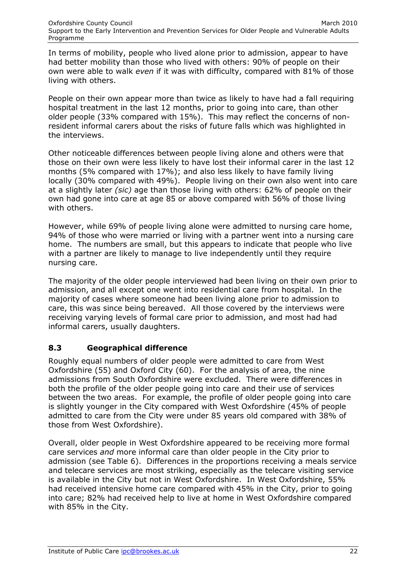In terms of mobility, people who lived alone prior to admission, appear to have had better mobility than those who lived with others: 90% of people on their own were able to walk *even* if it was with difficulty, compared with 81% of those living with others.

People on their own appear more than twice as likely to have had a fall requiring hospital treatment in the last 12 months, prior to going into care, than other older people (33% compared with 15%). This may reflect the concerns of nonresident informal carers about the risks of future falls which was highlighted in the interviews.

Other noticeable differences between people living alone and others were that those on their own were less likely to have lost their informal carer in the last 12 months (5% compared with 17%); and also less likely to have family living locally (30% compared with 49%). People living on their own also went into care at a slightly later *(sic)* age than those living with others: 62% of people on their own had gone into care at age 85 or above compared with 56% of those living with others.

However, while 69% of people living alone were admitted to nursing care home, 94% of those who were married or living with a partner went into a nursing care home. The numbers are small, but this appears to indicate that people who live with a partner are likely to manage to live independently until they require nursing care.

The majority of the older people interviewed had been living on their own prior to admission, and all except one went into residential care from hospital. In the majority of cases where someone had been living alone prior to admission to care, this was since being bereaved. All those covered by the interviews were receiving varying levels of formal care prior to admission, and most had had informal carers, usually daughters.

#### **8.3 Geographical difference**

Roughly equal numbers of older people were admitted to care from West Oxfordshire (55) and Oxford City (60). For the analysis of area, the nine admissions from South Oxfordshire were excluded. There were differences in both the profile of the older people going into care and their use of services between the two areas. For example, the profile of older people going into care is slightly younger in the City compared with West Oxfordshire (45% of people admitted to care from the City were under 85 years old compared with 38% of those from West Oxfordshire).

Overall, older people in West Oxfordshire appeared to be receiving more formal care services *and* more informal care than older people in the City prior to admission (see Table 6). Differences in the proportions receiving a meals service and telecare services are most striking, especially as the telecare visiting service is available in the City but not in West Oxfordshire. In West Oxfordshire, 55% had received intensive home care compared with 45% in the City, prior to going into care; 82% had received help to live at home in West Oxfordshire compared with 85% in the City.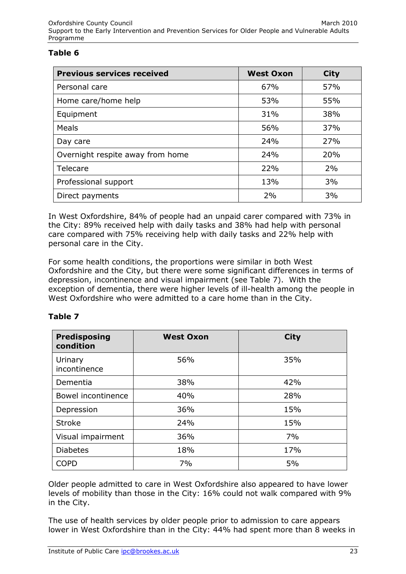#### **Table 6**

| <b>Previous services received</b> | <b>West Oxon</b> | <b>City</b> |
|-----------------------------------|------------------|-------------|
| Personal care                     | 67%              | 57%         |
| Home care/home help               | 53%              | 55%         |
| Equipment                         | 31%              | 38%         |
| Meals                             | 56%              | 37%         |
| Day care                          | 24%              | 27%         |
| Overnight respite away from home  | 24%              | 20%         |
| Telecare                          | 22%              | 2%          |
| Professional support              | 13%              | 3%          |
| Direct payments                   | 2%               | 3%          |

In West Oxfordshire, 84% of people had an unpaid carer compared with 73% in the City: 89% received help with daily tasks and 38% had help with personal care compared with 75% receiving help with daily tasks and 22% help with personal care in the City.

For some health conditions, the proportions were similar in both West Oxfordshire and the City, but there were some significant differences in terms of depression, incontinence and visual impairment (see Table 7). With the exception of dementia, there were higher levels of ill-health among the people in West Oxfordshire who were admitted to a care home than in the City.

#### **Table 7**

| <b>Predisposing</b><br>condition | <b>West Oxon</b> | <b>City</b> |
|----------------------------------|------------------|-------------|
| Urinary<br>incontinence          | 56%              | 35%         |
| Dementia                         | 38%              | 42%         |
| Bowel incontinence               | 40%              | 28%         |
| Depression                       | 36%              | 15%         |
| <b>Stroke</b>                    | 24%              | 15%         |
| Visual impairment                | 36%              | 7%          |
| <b>Diabetes</b>                  | 18%              | 17%         |
| <b>COPD</b>                      | 7%               | 5%          |

Older people admitted to care in West Oxfordshire also appeared to have lower levels of mobility than those in the City: 16% could not walk compared with 9% in the City.

The use of health services by older people prior to admission to care appears lower in West Oxfordshire than in the City: 44% had spent more than 8 weeks in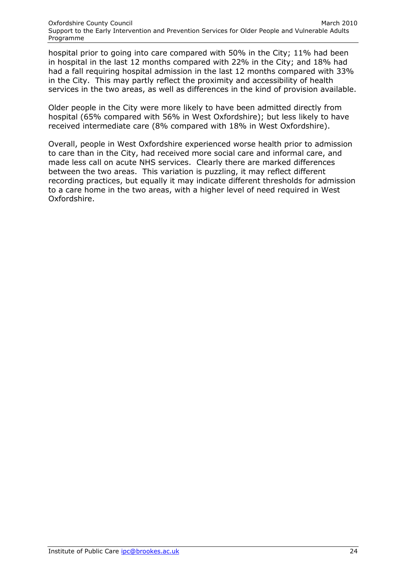hospital prior to going into care compared with 50% in the City; 11% had been in hospital in the last 12 months compared with 22% in the City; and 18% had had a fall requiring hospital admission in the last 12 months compared with 33% in the City. This may partly reflect the proximity and accessibility of health services in the two areas, as well as differences in the kind of provision available.

Older people in the City were more likely to have been admitted directly from hospital (65% compared with 56% in West Oxfordshire); but less likely to have received intermediate care (8% compared with 18% in West Oxfordshire).

Overall, people in West Oxfordshire experienced worse health prior to admission to care than in the City, had received more social care and informal care, and made less call on acute NHS services. Clearly there are marked differences between the two areas. This variation is puzzling, it may reflect different recording practices, but equally it may indicate different thresholds for admission to a care home in the two areas, with a higher level of need required in West Oxfordshire.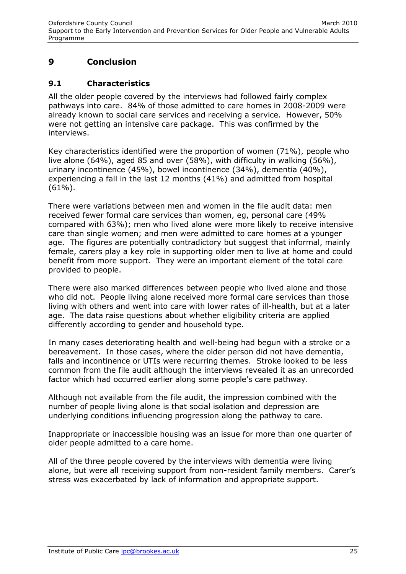# **9 Conclusion**

#### **9.1 Characteristics**

All the older people covered by the interviews had followed fairly complex pathways into care. 84% of those admitted to care homes in 2008-2009 were already known to social care services and receiving a service. However, 50% were not getting an intensive care package. This was confirmed by the interviews.

Key characteristics identified were the proportion of women (71%), people who live alone (64%), aged 85 and over (58%), with difficulty in walking (56%), urinary incontinence (45%), bowel incontinence (34%), dementia (40%), experiencing a fall in the last 12 months (41%) and admitted from hospital  $(61\%)$ .

There were variations between men and women in the file audit data: men received fewer formal care services than women, eg, personal care (49% compared with 63%); men who lived alone were more likely to receive intensive care than single women; and men were admitted to care homes at a younger age. The figures are potentially contradictory but suggest that informal, mainly female, carers play a key role in supporting older men to live at home and could benefit from more support. They were an important element of the total care provided to people.

There were also marked differences between people who lived alone and those who did not. People living alone received more formal care services than those living with others and went into care with lower rates of ill-health, but at a later age. The data raise questions about whether eligibility criteria are applied differently according to gender and household type.

In many cases deteriorating health and well-being had begun with a stroke or a bereavement. In those cases, where the older person did not have dementia, falls and incontinence or UTIs were recurring themes. Stroke looked to be less common from the file audit although the interviews revealed it as an unrecorded factor which had occurred earlier along some people's care pathway.

Although not available from the file audit, the impression combined with the number of people living alone is that social isolation and depression are underlying conditions influencing progression along the pathway to care.

Inappropriate or inaccessible housing was an issue for more than one quarter of older people admitted to a care home.

All of the three people covered by the interviews with dementia were living alone, but were all receiving support from non-resident family members. Carer's stress was exacerbated by lack of information and appropriate support.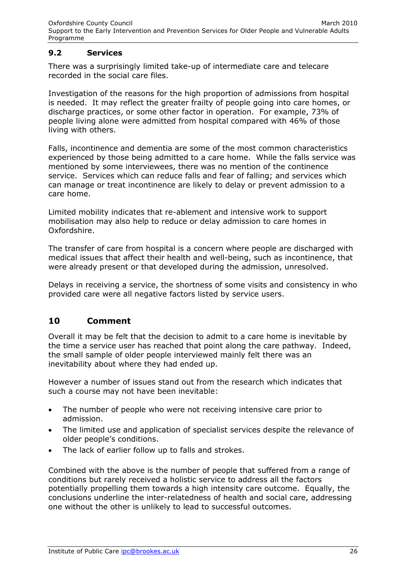#### **9.2 Services**

There was a surprisingly limited take-up of intermediate care and telecare recorded in the social care files.

Investigation of the reasons for the high proportion of admissions from hospital is needed. It may reflect the greater frailty of people going into care homes, or discharge practices, or some other factor in operation. For example, 73% of people living alone were admitted from hospital compared with 46% of those living with others.

Falls, incontinence and dementia are some of the most common characteristics experienced by those being admitted to a care home. While the falls service was mentioned by some interviewees, there was no mention of the continence service. Services which can reduce falls and fear of falling; and services which can manage or treat incontinence are likely to delay or prevent admission to a care home.

Limited mobility indicates that re-ablement and intensive work to support mobilisation may also help to reduce or delay admission to care homes in Oxfordshire.

The transfer of care from hospital is a concern where people are discharged with medical issues that affect their health and well-being, such as incontinence, that were already present or that developed during the admission, unresolved.

Delays in receiving a service, the shortness of some visits and consistency in who provided care were all negative factors listed by service users.

# **10 Comment**

Overall it may be felt that the decision to admit to a care home is inevitable by the time a service user has reached that point along the care pathway. Indeed, the small sample of older people interviewed mainly felt there was an inevitability about where they had ended up.

However a number of issues stand out from the research which indicates that such a course may not have been inevitable:

- The number of people who were not receiving intensive care prior to admission.
- The limited use and application of specialist services despite the relevance of older people's conditions.
- The lack of earlier follow up to falls and strokes.

Combined with the above is the number of people that suffered from a range of conditions but rarely received a holistic service to address all the factors potentially propelling them towards a high intensity care outcome. Equally, the conclusions underline the inter-relatedness of health and social care, addressing one without the other is unlikely to lead to successful outcomes.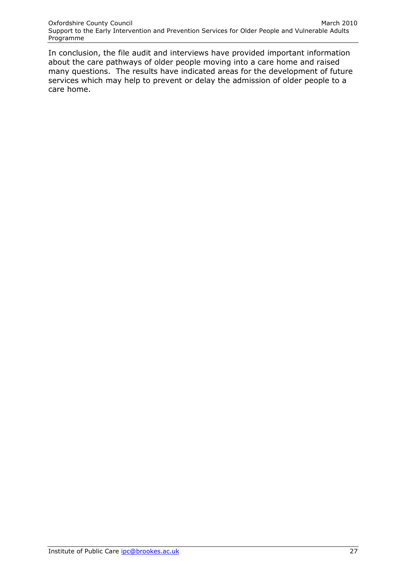In conclusion, the file audit and interviews have provided important information about the care pathways of older people moving into a care home and raised many questions. The results have indicated areas for the development of future services which may help to prevent or delay the admission of older people to a care home.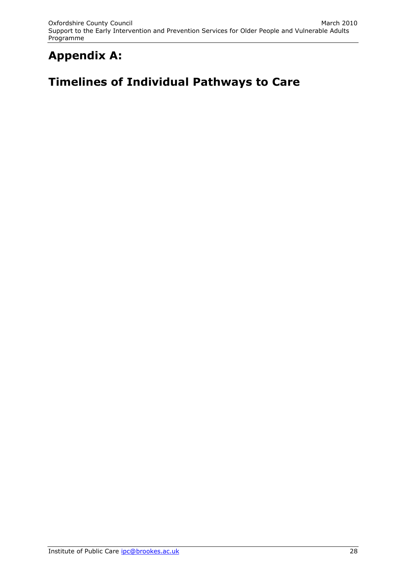# **Appendix A:**

# **Timelines of Individual Pathways to Care**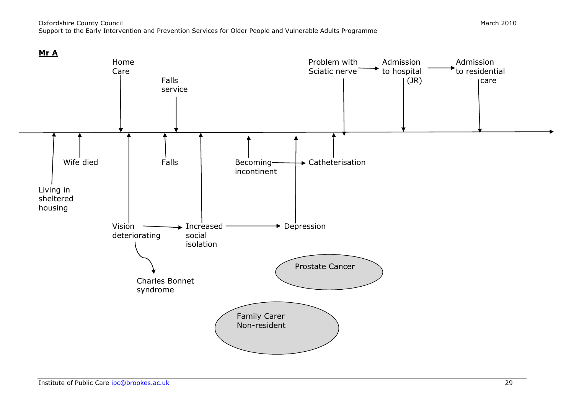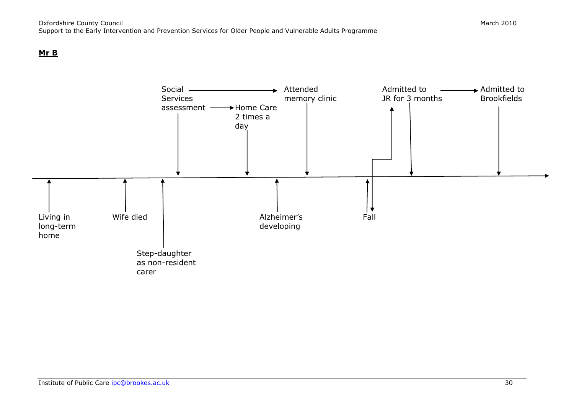#### **Mr B**

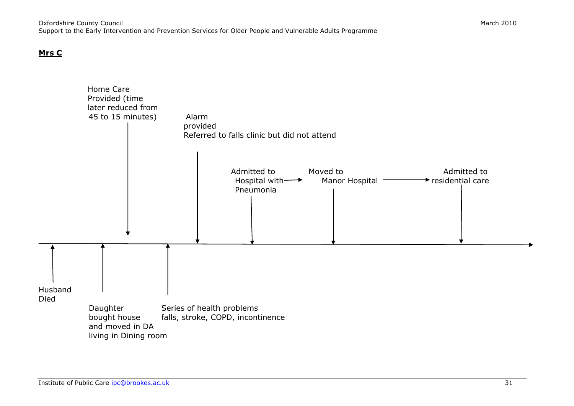#### **Mrs C**

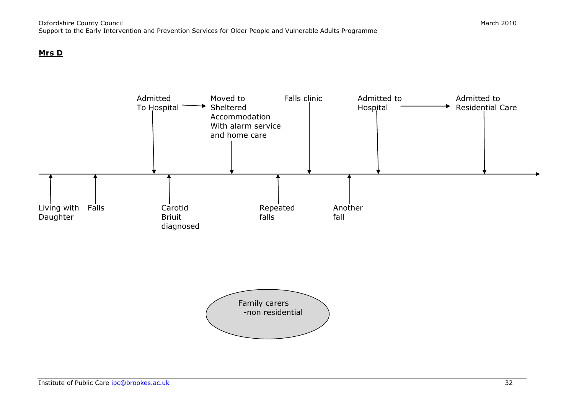#### **Mrs D**



s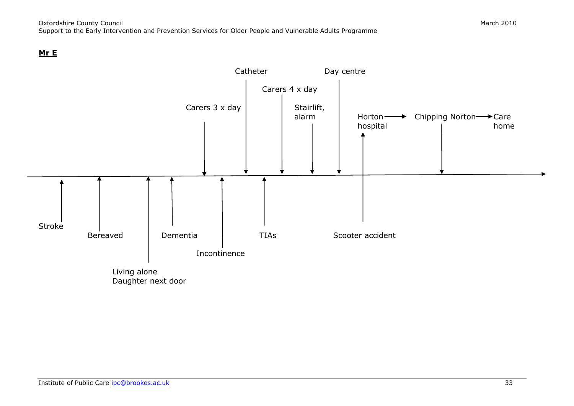#### **Mr E**

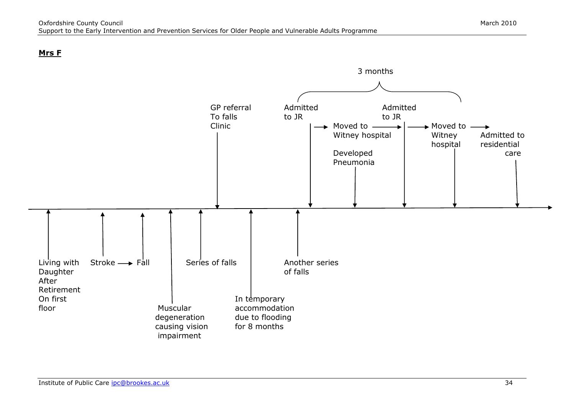#### **Mrs F**

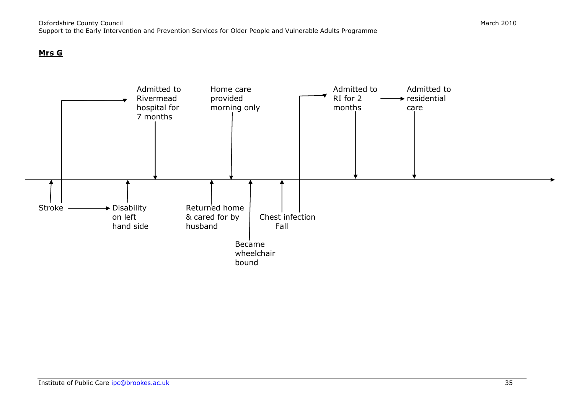#### **Mrs G**

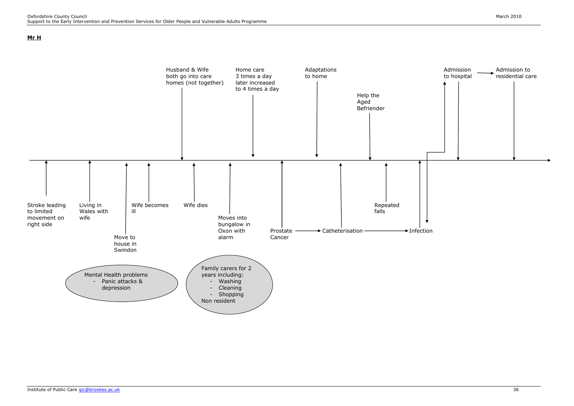